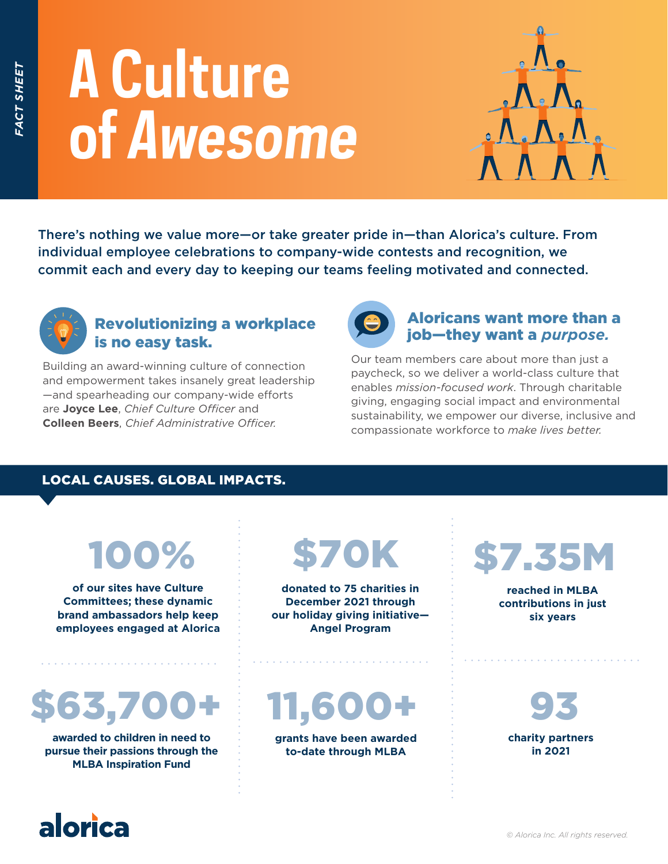# **A Culture of** *Awesome*



There's nothing we value more—or take greater pride in—than Alorica's culture. From individual employee celebrations to company-wide contests and recognition, we commit each and every day to keeping our teams feeling motivated and connected.



#### Revolutionizing a workplace is no easy task.

Building an award-winning culture of connection and empowerment takes insanely great leadership —and spearheading our company-wide efforts are **Joyce Lee**, *Chief Culture Officer* and **Colleen Beers**, *Chief Administrative Officer.*



Our team members care about more than just a paycheck, so we deliver a world-class culture that enables *mission-focused work*. Through charitable giving, engaging social impact and environmental sustainability, we empower our diverse, inclusive and compassionate workforce to *make lives better.*

#### LOCAL CAUSES. GLOBAL IMPACTS.

# 100%

**of our sites have Culture Committees; these dynamic brand ambassadors help keep employees engaged at Alorica** 

### 63,70

**awarded to children in need to pursue their passions through the MLBA Inspiration Fund**

# \$70K

**donated to 75 charities in December 2021 through our holiday giving initiative— Angel Program**

11,600+

**grants have been awarded to-date through MLBA** 

# \$7.35M

**reached in MLBA contributions in just six years** 

93 **charity partners in 2021**